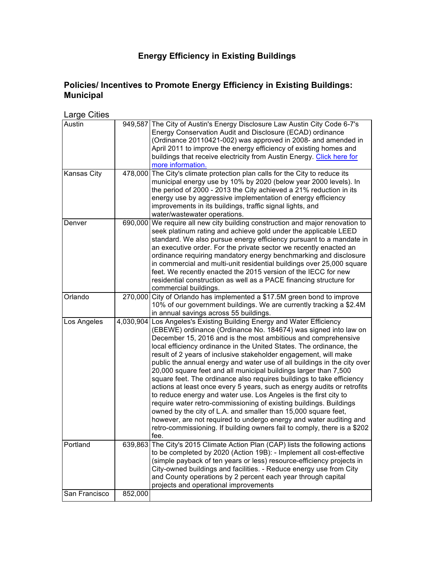# **Energy Efficiency in Existing Buildings**

# **Policies/ Incentives to Promote Energy Efficiency in Existing Buildings: Municipal**

# Large Cities

| Austin        |         | 949,587 The City of Austin's Energy Disclosure Law Austin City Code 6-7's<br>Energy Conservation Audit and Disclosure (ECAD) ordinance<br>(Ordinance 20110421-002) was approved in 2008- and amended in<br>April 2011 to improve the energy efficiency of existing homes and<br>buildings that receive electricity from Austin Energy. Click here for<br>more information.                                                                                                                                                                                                                                                                                                                                                                                                                                                                                                                                                                                                                                                     |
|---------------|---------|--------------------------------------------------------------------------------------------------------------------------------------------------------------------------------------------------------------------------------------------------------------------------------------------------------------------------------------------------------------------------------------------------------------------------------------------------------------------------------------------------------------------------------------------------------------------------------------------------------------------------------------------------------------------------------------------------------------------------------------------------------------------------------------------------------------------------------------------------------------------------------------------------------------------------------------------------------------------------------------------------------------------------------|
| Kansas City   |         | 478,000 The City's climate protection plan calls for the City to reduce its<br>municipal energy use by 10% by 2020 (below year 2000 levels). In<br>the period of 2000 - 2013 the City achieved a 21% reduction in its<br>energy use by aggressive implementation of energy efficiency<br>improvements in its buildings, traffic signal lights, and<br>water/wastewater operations.                                                                                                                                                                                                                                                                                                                                                                                                                                                                                                                                                                                                                                             |
| Denver        |         | 690,000 We require all new city building construction and major renovation to<br>seek platinum rating and achieve gold under the applicable LEED<br>standard. We also pursue energy efficiency pursuant to a mandate in<br>an executive order. For the private sector we recently enacted an<br>ordinance requiring mandatory energy benchmarking and disclosure<br>in commercial and multi-unit residential buildings over 25,000 square<br>feet. We recently enacted the 2015 version of the IECC for new<br>residential construction as well as a PACE financing structure for<br>commercial buildings.                                                                                                                                                                                                                                                                                                                                                                                                                     |
| Orlando       |         | 270,000 City of Orlando has implemented a \$17.5M green bond to improve<br>10% of our government buildings. We are currently tracking a \$2.4M<br>in annual savings across 55 buildings.                                                                                                                                                                                                                                                                                                                                                                                                                                                                                                                                                                                                                                                                                                                                                                                                                                       |
| Los Angeles   |         | 4,030,904 Los Angeles's Existing Building Energy and Water Efficiency<br>(EBEWE) ordinance (Ordinance No. 184674) was signed into law on<br>December 15, 2016 and is the most ambitious and comprehensive<br>local efficiency ordinance in the United States. The ordinance, the<br>result of 2 years of inclusive stakeholder engagement, will make<br>public the annual energy and water use of all buildings in the city over<br>20,000 square feet and all municipal buildings larger than 7,500<br>square feet. The ordinance also requires buildings to take efficiency<br>actions at least once every 5 years, such as energy audits or retrofits<br>to reduce energy and water use. Los Angeles is the first city to<br>require water retro-commissioning of existing buildings. Buildings<br>owned by the city of L.A. and smaller than 15,000 square feet,<br>however, are not required to undergo energy and water auditing and<br>retro-commissioning. If building owners fail to comply, there is a \$202<br>fee. |
| Portland      | 639,863 | The City's 2015 Climate Action Plan (CAP) lists the following actions<br>to be completed by 2020 (Action 19B): - Implement all cost-effective<br>(simple payback of ten years or less) resource-efficiency projects in<br>City-owned buildings and facilities. - Reduce energy use from City<br>and County operations by 2 percent each year through capital<br>projects and operational improvements                                                                                                                                                                                                                                                                                                                                                                                                                                                                                                                                                                                                                          |
| San Francisco | 852,000 |                                                                                                                                                                                                                                                                                                                                                                                                                                                                                                                                                                                                                                                                                                                                                                                                                                                                                                                                                                                                                                |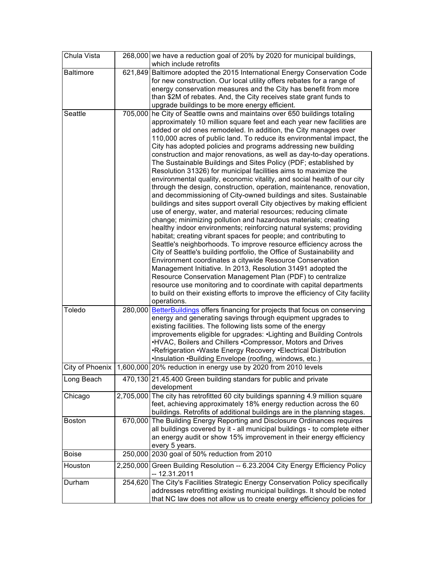| Chula Vista      |         | 268,000 we have a reduction goal of 20% by 2020 for municipal buildings,<br>which include retrofits                                                                                                                                                                                                                                                                                                                                                                                                                                                                                                                                                                                                                                                                                                                                                                                                                                                                                                                                                                                                                                                                                                                                                                                                                                                                                                                                                                                                                                                                                                                                                                                |
|------------------|---------|------------------------------------------------------------------------------------------------------------------------------------------------------------------------------------------------------------------------------------------------------------------------------------------------------------------------------------------------------------------------------------------------------------------------------------------------------------------------------------------------------------------------------------------------------------------------------------------------------------------------------------------------------------------------------------------------------------------------------------------------------------------------------------------------------------------------------------------------------------------------------------------------------------------------------------------------------------------------------------------------------------------------------------------------------------------------------------------------------------------------------------------------------------------------------------------------------------------------------------------------------------------------------------------------------------------------------------------------------------------------------------------------------------------------------------------------------------------------------------------------------------------------------------------------------------------------------------------------------------------------------------------------------------------------------------|
| <b>Baltimore</b> | 621,849 | Baltimore adopted the 2015 International Energy Conservation Code<br>for new construction. Our local utility offers rebates for a range of<br>energy conservation measures and the City has benefit from more<br>than \$2M of rebates. And, the City receives state grant funds to<br>upgrade buildings to be more energy efficient.                                                                                                                                                                                                                                                                                                                                                                                                                                                                                                                                                                                                                                                                                                                                                                                                                                                                                                                                                                                                                                                                                                                                                                                                                                                                                                                                               |
| Seattle          |         | 705,000 he City of Seattle owns and maintains over 650 buildings totaling<br>approximately 10 million square feet and each year new facilities are<br>added or old ones remodeled. In addition, the City manages over<br>110,000 acres of public land. To reduce its environmental impact, the<br>City has adopted policies and programs addressing new building<br>construction and major renovations, as well as day-to-day operations.<br>The Sustainable Buildings and Sites Policy (PDF; established by<br>Resolution 31326) for municipal facilities aims to maximize the<br>environmental quality, economic vitality, and social health of our city<br>through the design, construction, operation, maintenance, renovation,<br>and decommissioning of City-owned buildings and sites. Sustainable<br>buildings and sites support overall City objectives by making efficient<br>use of energy, water, and material resources; reducing climate<br>change; minimizing pollution and hazardous materials; creating<br>healthy indoor environments; reinforcing natural systems; providing<br>habitat; creating vibrant spaces for people; and contributing to<br>Seattle's neighborhoods. To improve resource efficiency across the<br>City of Seattle's building portfolio, the Office of Sustainability and<br>Environment coordinates a citywide Resource Conservation<br>Management Initiative. In 2013, Resolution 31491 adopted the<br>Resource Conservation Management Plan (PDF) to centralize<br>resource use monitoring and to coordinate with capital departments<br>to build on their existing efforts to improve the efficiency of City facility<br>operations. |
| Toledo           | 280,000 | BetterBuildings offers financing for projects that focus on conserving<br>energy and generating savings through equipment upgrades to<br>existing facilities. The following lists some of the energy<br>improvements eligible for upgrades: . Lighting and Building Controls<br>.HVAC, Boilers and Chillers .Compressor, Motors and Drives<br>•Refrigeration • Waste Energy Recovery • Electrical Distribution<br>·Insulation ·Building Envelope (roofing, windows, etc.)                                                                                                                                                                                                                                                                                                                                                                                                                                                                                                                                                                                                                                                                                                                                                                                                                                                                                                                                                                                                                                                                                                                                                                                                          |
|                  |         | City of Phoenix   1,600,000   20% reduction in energy use by 2020 from 2010 levels                                                                                                                                                                                                                                                                                                                                                                                                                                                                                                                                                                                                                                                                                                                                                                                                                                                                                                                                                                                                                                                                                                                                                                                                                                                                                                                                                                                                                                                                                                                                                                                                 |
| Long Beach       |         | 470,130 21.45.400 Green building standars for public and private<br>development                                                                                                                                                                                                                                                                                                                                                                                                                                                                                                                                                                                                                                                                                                                                                                                                                                                                                                                                                                                                                                                                                                                                                                                                                                                                                                                                                                                                                                                                                                                                                                                                    |
| Chicago          |         | 2,705,000 The city has retrofitted 60 city buildings spanning 4.9 million square<br>feet, achieving approximately 18% energy reduction across the 60<br>buildings. Retrofits of additional buildings are in the planning stages.                                                                                                                                                                                                                                                                                                                                                                                                                                                                                                                                                                                                                                                                                                                                                                                                                                                                                                                                                                                                                                                                                                                                                                                                                                                                                                                                                                                                                                                   |
| <b>Boston</b>    |         | 670,000 The Building Energy Reporting and Disclosure Ordinances requires<br>all buildings covered by it - all municipal buildings - to complete either<br>an energy audit or show 15% improvement in their energy efficiency<br>every 5 years.                                                                                                                                                                                                                                                                                                                                                                                                                                                                                                                                                                                                                                                                                                                                                                                                                                                                                                                                                                                                                                                                                                                                                                                                                                                                                                                                                                                                                                     |
| <b>Boise</b>     |         | 250,000 2030 goal of 50% reduction from 2010                                                                                                                                                                                                                                                                                                                                                                                                                                                                                                                                                                                                                                                                                                                                                                                                                                                                                                                                                                                                                                                                                                                                                                                                                                                                                                                                                                                                                                                                                                                                                                                                                                       |
| Houston          |         | 2,250,000 Green Building Resolution -- 6.23.2004 City Energy Efficiency Policy<br>$-12.31.2011$                                                                                                                                                                                                                                                                                                                                                                                                                                                                                                                                                                                                                                                                                                                                                                                                                                                                                                                                                                                                                                                                                                                                                                                                                                                                                                                                                                                                                                                                                                                                                                                    |
| Durham           |         | 254,620 The City's Facilities Strategic Energy Conservation Policy specifically<br>addresses retrofitting existing municipal buildings. It should be noted<br>that NC law does not allow us to create energy efficiency policies for                                                                                                                                                                                                                                                                                                                                                                                                                                                                                                                                                                                                                                                                                                                                                                                                                                                                                                                                                                                                                                                                                                                                                                                                                                                                                                                                                                                                                                               |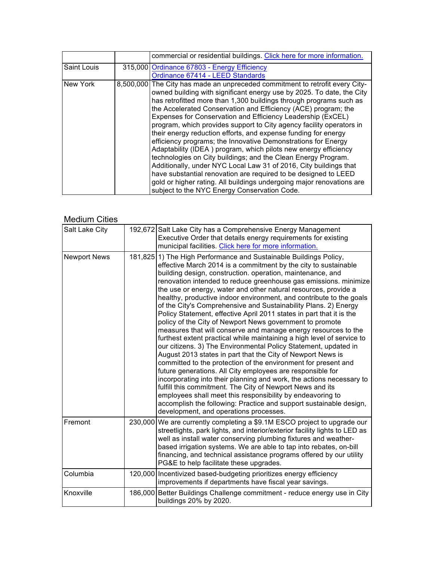|                    | commercial or residential buildings. Click here for more information.                                                                                                                                                                                                                                                                                                                                                                                                                                                                                                                                                                                                                                                                                                                                                                                                                                                                                                        |
|--------------------|------------------------------------------------------------------------------------------------------------------------------------------------------------------------------------------------------------------------------------------------------------------------------------------------------------------------------------------------------------------------------------------------------------------------------------------------------------------------------------------------------------------------------------------------------------------------------------------------------------------------------------------------------------------------------------------------------------------------------------------------------------------------------------------------------------------------------------------------------------------------------------------------------------------------------------------------------------------------------|
| <b>Saint Louis</b> | 315,000 Ordinance 67803 - Energy Efficiency                                                                                                                                                                                                                                                                                                                                                                                                                                                                                                                                                                                                                                                                                                                                                                                                                                                                                                                                  |
|                    | Ordinance 67414 - LEED Standards                                                                                                                                                                                                                                                                                                                                                                                                                                                                                                                                                                                                                                                                                                                                                                                                                                                                                                                                             |
| New York           | 8,500,000 The City has made an unpreceded commitment to retrofit every City-<br>owned building with significant energy use by 2025. To date, the City<br>has retrofitted more than 1,300 buildings through programs such as<br>the Accelerated Conservation and Efficiency (ACE) program; the<br>Expenses for Conservation and Efficiency Leadership (ExCEL)<br>program, which provides support to City agency facility operators in<br>their energy reduction efforts, and expense funding for energy<br>efficiency programs; the Innovative Demonstrations for Energy<br>Adaptability (IDEA) program, which pilots new energy efficiency<br>technologies on City buildings; and the Clean Energy Program.<br>Additionally, under NYC Local Law 31 of 2016, City buildings that<br>have substantial renovation are required to be designed to LEED<br>gold or higher rating. All buildings undergoing major renovations are<br>subject to the NYC Energy Conservation Code. |

### Medium Cities

| Salt Lake City      | 192,672 Salt Lake City has a Comprehensive Energy Management<br>Executive Order that details energy requirements for existing<br>municipal facilities. Click here for more information.                                                                                                                                                                                                                                                                                                                                                                                                                                                                                                                                                                                                                                                                                                                                                                                                                                                                                                                                                                                                                                                                                                                                                                  |
|---------------------|----------------------------------------------------------------------------------------------------------------------------------------------------------------------------------------------------------------------------------------------------------------------------------------------------------------------------------------------------------------------------------------------------------------------------------------------------------------------------------------------------------------------------------------------------------------------------------------------------------------------------------------------------------------------------------------------------------------------------------------------------------------------------------------------------------------------------------------------------------------------------------------------------------------------------------------------------------------------------------------------------------------------------------------------------------------------------------------------------------------------------------------------------------------------------------------------------------------------------------------------------------------------------------------------------------------------------------------------------------|
| <b>Newport News</b> | 181,825 1) The High Performance and Sustainable Buildings Policy,<br>effective March 2014 is a commitment by the city to sustainable<br>building design, construction. operation, maintenance, and<br>renovation intended to reduce greenhouse gas emissions. minimize<br>the use or energy, water and other natural resources, provide a<br>healthy, productive indoor environment, and contribute to the goals<br>of the City's Comprehensive and Sustainability Plans. 2) Energy<br>Policy Statement, effective April 2011 states in part that it is the<br>policy of the City of Newport News government to promote<br>measures that will conserve and manage energy resources to the<br>furthest extent practical while maintaining a high level of service to<br>our citizens. 3) The Environmental Policy Statement, updated in<br>August 2013 states in part that the City of Newport News is<br>committed to the protection of the environment for present and<br>future generations. All City employees are responsible for<br>incorporating into their planning and work, the actions necessary to<br>fulfill this commitment. The City of Newport News and its<br>employees shall meet this responsibility by endeavoring to<br>accomplish the following: Practice and support sustainable design,<br>development, and operations processes. |
| Fremont             | 230,000 We are currently completing a \$9.1M ESCO project to upgrade our<br>streetlights, park lights, and interior/exterior facility lights to LED as<br>well as install water conserving plumbing fixtures and weather-<br>based irrigation systems. We are able to tap into rebates, on-bill<br>financing, and technical assistance programs offered by our utility<br>PG&E to help facilitate these upgrades.                                                                                                                                                                                                                                                                                                                                                                                                                                                                                                                                                                                                                                                                                                                                                                                                                                                                                                                                        |
| Columbia            | 120,000 Incentivized based-budgeting prioritizes energy efficiency<br>improvements if departments have fiscal year savings.                                                                                                                                                                                                                                                                                                                                                                                                                                                                                                                                                                                                                                                                                                                                                                                                                                                                                                                                                                                                                                                                                                                                                                                                                              |
| Knoxville           | 186,000 Better Buildings Challenge commitment - reduce energy use in City<br>buildings 20% by 2020.                                                                                                                                                                                                                                                                                                                                                                                                                                                                                                                                                                                                                                                                                                                                                                                                                                                                                                                                                                                                                                                                                                                                                                                                                                                      |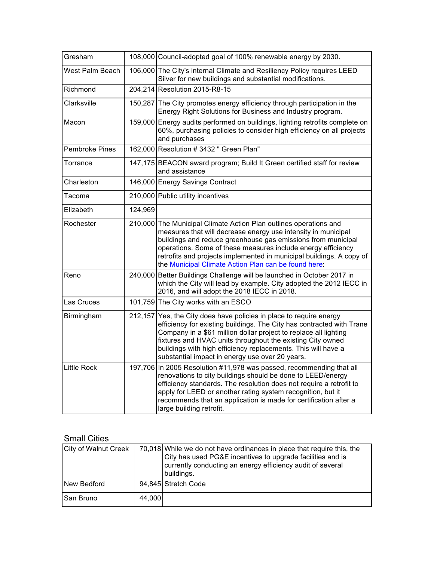| Gresham               |         | 108,000 Council-adopted goal of 100% renewable energy by 2030.                                                                                                                                                                                                                                                                                                                                     |
|-----------------------|---------|----------------------------------------------------------------------------------------------------------------------------------------------------------------------------------------------------------------------------------------------------------------------------------------------------------------------------------------------------------------------------------------------------|
| West Palm Beach       |         | 106,000 The City's internal Climate and Resiliency Policy requires LEED<br>Silver for new buildings and substantial modifications.                                                                                                                                                                                                                                                                 |
| Richmond              |         | 204,214 Resolution 2015-R8-15                                                                                                                                                                                                                                                                                                                                                                      |
| Clarksville           |         | 150,287 The City promotes energy efficiency through participation in the<br>Energy Right Solutions for Business and Industry program.                                                                                                                                                                                                                                                              |
| Macon                 |         | 159,000 Energy audits performed on buildings, lighting retrofits complete on<br>60%, purchasing policies to consider high efficiency on all projects<br>and purchases                                                                                                                                                                                                                              |
| <b>Pembroke Pines</b> |         | 162,000 Resolution #3432 " Green Plan"                                                                                                                                                                                                                                                                                                                                                             |
| Torrance              |         | 147,175 BEACON award program; Build It Green certified staff for review<br>and assistance                                                                                                                                                                                                                                                                                                          |
| Charleston            |         | 146,000 Energy Savings Contract                                                                                                                                                                                                                                                                                                                                                                    |
| Tacoma                |         | 210,000 Public utility incentives                                                                                                                                                                                                                                                                                                                                                                  |
| Elizabeth             | 124,969 |                                                                                                                                                                                                                                                                                                                                                                                                    |
| Rochester             |         | 210,000 The Municipal Climate Action Plan outlines operations and<br>measures that will decrease energy use intensity in municipal<br>buildings and reduce greenhouse gas emissions from municipal<br>operations. Some of these measures include energy efficiency<br>retrofits and projects implemented in municipal buildings. A copy of<br>the Municipal Climate Action Plan can be found here: |
| Reno                  |         | 240,000 Better Buildings Challenge will be launched in October 2017 in<br>which the City will lead by example. City adopted the 2012 IECC in<br>2016, and will adopt the 2018 IECC in 2018.                                                                                                                                                                                                        |
| Las Cruces            |         | 101,759 The City works with an ESCO                                                                                                                                                                                                                                                                                                                                                                |
| Birmingham            |         | 212,157 Yes, the City does have policies in place to require energy<br>efficiency for existing buildings. The City has contracted with Trane<br>Company in a \$61 million dollar project to replace all lighting<br>fixtures and HVAC units throughout the existing City owned<br>buildings with high efficiency replacements. This will have a<br>substantial impact in energy use over 20 years. |
| <b>Little Rock</b>    |         | 197,706 In 2005 Resolution #11,978 was passed, recommending that all<br>renovations to city buildings should be done to LEED/energy<br>efficiency standards. The resolution does not require a retrofit to<br>apply for LEED or another rating system recognition, but it<br>recommends that an application is made for certification after a<br>large building retrofit.                          |

# Small Cities

| <b>City of Walnut Creek</b> |        | 70,018 While we do not have ordinances in place that require this, the<br>City has used PG&E incentives to upgrade facilities and is<br>currently conducting an energy efficiency audit of several<br>buildings. |
|-----------------------------|--------|------------------------------------------------------------------------------------------------------------------------------------------------------------------------------------------------------------------|
| New Bedford                 |        | 94,845 Stretch Code                                                                                                                                                                                              |
| San Bruno                   | 44,000 |                                                                                                                                                                                                                  |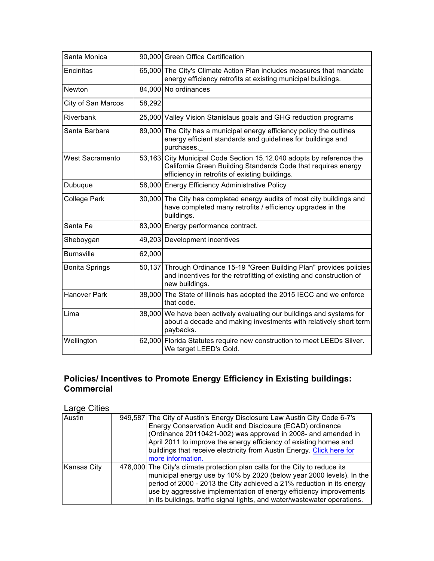| Santa Monica           |        | 90,000 Green Office Certification                                                                                                                                                       |
|------------------------|--------|-----------------------------------------------------------------------------------------------------------------------------------------------------------------------------------------|
| Encinitas              |        | 65,000 The City's Climate Action Plan includes measures that mandate<br>energy efficiency retrofits at existing municipal buildings.                                                    |
| Newton                 |        | 84,000 No ordinances                                                                                                                                                                    |
| City of San Marcos     | 58,292 |                                                                                                                                                                                         |
| Riverbank              |        | 25,000 Valley Vision Stanislaus goals and GHG reduction programs                                                                                                                        |
| Santa Barbara          |        | 89,000 The City has a municipal energy efficiency policy the outlines<br>energy efficient standards and guidelines for buildings and<br>purchases.                                      |
| <b>West Sacramento</b> |        | 53,163 City Municipal Code Section 15.12.040 adopts by reference the<br>California Green Building Standards Code that requires energy<br>efficiency in retrofits of existing buildings. |
| Dubuque                |        | 58,000 Energy Efficiency Administrative Policy                                                                                                                                          |
| <b>College Park</b>    |        | 30,000 The City has completed energy audits of most city buildings and<br>have completed many retrofits / efficiency upgrades in the<br>buildings.                                      |
| Santa Fe               |        | 83,000 Energy performance contract.                                                                                                                                                     |
| Sheboygan              |        | 49,203 Development incentives                                                                                                                                                           |
| <b>Burnsville</b>      | 62,000 |                                                                                                                                                                                         |
| <b>Bonita Springs</b>  | 50,137 | Through Ordinance 15-19 "Green Building Plan" provides policies<br>and incentives for the retrofitting of existing and construction of<br>new buildings.                                |
| <b>Hanover Park</b>    |        | 38,000 The State of Illinois has adopted the 2015 IECC and we enforce<br>that code.                                                                                                     |
| Lima                   |        | 38,000 We have been actively evaluating our buildings and systems for<br>about a decade and making investments with relatively short term<br>paybacks.                                  |
| Wellington             |        | 62,000 Florida Statutes require new construction to meet LEEDs Silver.<br>We target LEED's Gold.                                                                                        |

## **Policies/ Incentives to Promote Energy Efficiency in Existing buildings: Commercial**

Large Cities

| Austin             | 949,587 The City of Austin's Energy Disclosure Law Austin City Code 6-7's   |
|--------------------|-----------------------------------------------------------------------------|
|                    | Energy Conservation Audit and Disclosure (ECAD) ordinance                   |
|                    | (Ordinance 20110421-002) was approved in 2008- and amended in               |
|                    | April 2011 to improve the energy efficiency of existing homes and           |
|                    | buildings that receive electricity from Austin Energy. Click here for       |
|                    | more information.                                                           |
| <b>Kansas City</b> | 478,000 The City's climate protection plan calls for the City to reduce its |
|                    | municipal energy use by 10% by 2020 (below year 2000 levels). In the        |
|                    | period of 2000 - 2013 the City achieved a 21% reduction in its energy       |
|                    | use by aggressive implementation of energy efficiency improvements          |
|                    | in its buildings, traffic signal lights, and water/wastewater operations.   |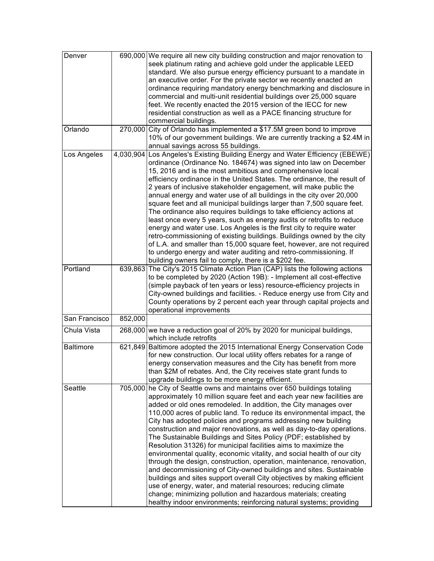| Denver           |         | 690,000 We require all new city building construction and major renovation to |
|------------------|---------|-------------------------------------------------------------------------------|
|                  |         | seek platinum rating and achieve gold under the applicable LEED               |
|                  |         | standard. We also pursue energy efficiency pursuant to a mandate in           |
|                  |         | an executive order. For the private sector we recently enacted an             |
|                  |         | ordinance requiring mandatory energy benchmarking and disclosure in           |
|                  |         | commercial and multi-unit residential buildings over 25,000 square            |
|                  |         | feet. We recently enacted the 2015 version of the IECC for new                |
|                  |         | residential construction as well as a PACE financing structure for            |
|                  |         | commercial buildings.                                                         |
| Orlando          |         | 270,000 City of Orlando has implemented a \$17.5M green bond to improve       |
|                  |         | 10% of our government buildings. We are currently tracking a \$2.4M in        |
|                  |         | annual savings across 55 buildings.                                           |
| Los Angeles      |         | 4,030,904 Los Angeles's Existing Building Energy and Water Efficiency (EBEWE) |
|                  |         | ordinance (Ordinance No. 184674) was signed into law on December              |
|                  |         | 15, 2016 and is the most ambitious and comprehensive local                    |
|                  |         | efficiency ordinance in the United States. The ordinance, the result of       |
|                  |         | 2 years of inclusive stakeholder engagement, will make public the             |
|                  |         | annual energy and water use of all buildings in the city over 20,000          |
|                  |         | square feet and all municipal buildings larger than 7,500 square feet.        |
|                  |         | The ordinance also requires buildings to take efficiency actions at           |
|                  |         | least once every 5 years, such as energy audits or retrofits to reduce        |
|                  |         |                                                                               |
|                  |         | energy and water use. Los Angeles is the first city to require water          |
|                  |         | retro-commissioning of existing buildings. Buildings owned by the city        |
|                  |         | of L.A. and smaller than 15,000 square feet, however, are not required        |
|                  |         | to undergo energy and water auditing and retro-commissioning. If              |
|                  |         | building owners fail to comply, there is a \$202 fee.                         |
| Portland         |         | 639,863 The City's 2015 Climate Action Plan (CAP) lists the following actions |
|                  |         | to be completed by 2020 (Action 19B): - Implement all cost-effective          |
|                  |         | (simple payback of ten years or less) resource-efficiency projects in         |
|                  |         | City-owned buildings and facilities. - Reduce energy use from City and        |
|                  |         | County operations by 2 percent each year through capital projects and         |
|                  |         | operational improvements                                                      |
| San Francisco    | 852,000 |                                                                               |
| Chula Vista      |         | 268,000 we have a reduction goal of 20% by 2020 for municipal buildings,      |
|                  |         | which include retrofits                                                       |
| <b>Baltimore</b> |         | 621,849 Baltimore adopted the 2015 International Energy Conservation Code     |
|                  |         | for new construction. Our local utility offers rebates for a range of         |
|                  |         | energy conservation measures and the City has benefit from more               |
|                  |         | than \$2M of rebates. And, the City receives state grant funds to             |
|                  |         | upgrade buildings to be more energy efficient.                                |
| Seattle          | 705,000 | he City of Seattle owns and maintains over 650 buildings totaling             |
|                  |         | approximately 10 million square feet and each year new facilities are         |
|                  |         | added or old ones remodeled. In addition, the City manages over               |
|                  |         | 110,000 acres of public land. To reduce its environmental impact, the         |
|                  |         | City has adopted policies and programs addressing new building                |
|                  |         | construction and major renovations, as well as day-to-day operations.         |
|                  |         | The Sustainable Buildings and Sites Policy (PDF; established by               |
|                  |         | Resolution 31326) for municipal facilities aims to maximize the               |
|                  |         | environmental quality, economic vitality, and social health of our city       |
|                  |         | through the design, construction, operation, maintenance, renovation,         |
|                  |         |                                                                               |
|                  |         | and decommissioning of City-owned buildings and sites. Sustainable            |
|                  |         | buildings and sites support overall City objectives by making efficient       |
|                  |         | use of energy, water, and material resources; reducing climate                |
|                  |         | change; minimizing pollution and hazardous materials; creating                |
|                  |         | healthy indoor environments; reinforcing natural systems; providing           |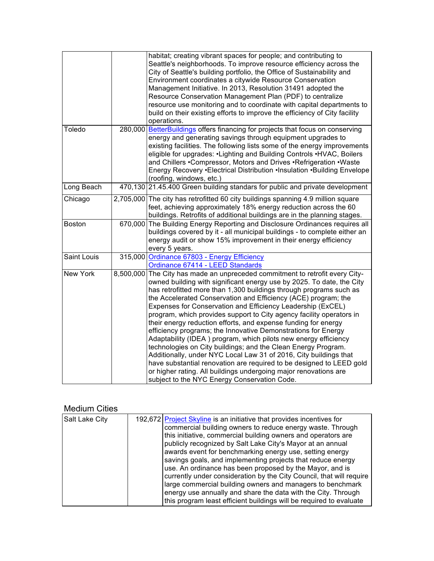|               |         | habitat; creating vibrant spaces for people; and contributing to<br>Seattle's neighborhoods. To improve resource efficiency across the<br>City of Seattle's building portfolio, the Office of Sustainability and<br>Environment coordinates a citywide Resource Conservation<br>Management Initiative. In 2013, Resolution 31491 adopted the<br>Resource Conservation Management Plan (PDF) to centralize<br>resource use monitoring and to coordinate with capital departments to<br>build on their existing efforts to improve the efficiency of City facility<br>operations.                                                                                                                                                                                                                                                                                                                                                                                              |
|---------------|---------|------------------------------------------------------------------------------------------------------------------------------------------------------------------------------------------------------------------------------------------------------------------------------------------------------------------------------------------------------------------------------------------------------------------------------------------------------------------------------------------------------------------------------------------------------------------------------------------------------------------------------------------------------------------------------------------------------------------------------------------------------------------------------------------------------------------------------------------------------------------------------------------------------------------------------------------------------------------------------|
| Toledo        | 280,000 | BetterBuildings offers financing for projects that focus on conserving<br>energy and generating savings through equipment upgrades to<br>existing facilities. The following lists some of the energy improvements<br>eligible for upgrades: •Lighting and Building Controls •HVAC, Boilers<br>and Chillers .Compressor, Motors and Drives .Refrigeration .Waste<br>Energy Recovery .Electrical Distribution .Insulation .Building Envelope<br>(roofing, windows, etc.)                                                                                                                                                                                                                                                                                                                                                                                                                                                                                                       |
| Long Beach    |         | 470,130 21.45.400 Green building standars for public and private development                                                                                                                                                                                                                                                                                                                                                                                                                                                                                                                                                                                                                                                                                                                                                                                                                                                                                                 |
| Chicago       |         | 2,705,000 The city has retrofitted 60 city buildings spanning 4.9 million square<br>feet, achieving approximately 18% energy reduction across the 60<br>buildings. Retrofits of additional buildings are in the planning stages.                                                                                                                                                                                                                                                                                                                                                                                                                                                                                                                                                                                                                                                                                                                                             |
| <b>Boston</b> |         | 670,000 The Building Energy Reporting and Disclosure Ordinances requires all<br>buildings covered by it - all municipal buildings - to complete either an<br>energy audit or show 15% improvement in their energy efficiency<br>every 5 years.                                                                                                                                                                                                                                                                                                                                                                                                                                                                                                                                                                                                                                                                                                                               |
| Saint Louis   |         | 315,000 Ordinance 67803 - Energy Efficiency<br>Ordinance 67414 - LEED Standards                                                                                                                                                                                                                                                                                                                                                                                                                                                                                                                                                                                                                                                                                                                                                                                                                                                                                              |
| New York      |         | 8,500,000 The City has made an unpreceded commitment to retrofit every City-<br>owned building with significant energy use by 2025. To date, the City<br>has retrofitted more than 1,300 buildings through programs such as<br>the Accelerated Conservation and Efficiency (ACE) program; the<br>Expenses for Conservation and Efficiency Leadership (ExCEL)<br>program, which provides support to City agency facility operators in<br>their energy reduction efforts, and expense funding for energy<br>efficiency programs; the Innovative Demonstrations for Energy<br>Adaptability (IDEA) program, which pilots new energy efficiency<br>technologies on City buildings; and the Clean Energy Program.<br>Additionally, under NYC Local Law 31 of 2016, City buildings that<br>have substantial renovation are required to be designed to LEED gold<br>or higher rating. All buildings undergoing major renovations are<br>subject to the NYC Energy Conservation Code. |

#### Medium Cities

| Salt Lake City<br>192,672 Project Skyline is an initiative that provides incentives for<br>commercial building owners to reduce energy waste. Through<br>this initiative, commercial building owners and operators are<br>publicly recognized by Salt Lake City's Mayor at an annual<br>awards event for benchmarking energy use, setting energy<br>savings goals, and implementing projects that reduce energy<br>use. An ordinance has been proposed by the Mayor, and is<br>currently under consideration by the City Council, that will require<br>large commercial building owners and managers to benchmark<br>energy use annually and share the data with the City. Through<br>this program least efficient buildings will be required to evaluate |  |  |
|-----------------------------------------------------------------------------------------------------------------------------------------------------------------------------------------------------------------------------------------------------------------------------------------------------------------------------------------------------------------------------------------------------------------------------------------------------------------------------------------------------------------------------------------------------------------------------------------------------------------------------------------------------------------------------------------------------------------------------------------------------------|--|--|
|                                                                                                                                                                                                                                                                                                                                                                                                                                                                                                                                                                                                                                                                                                                                                           |  |  |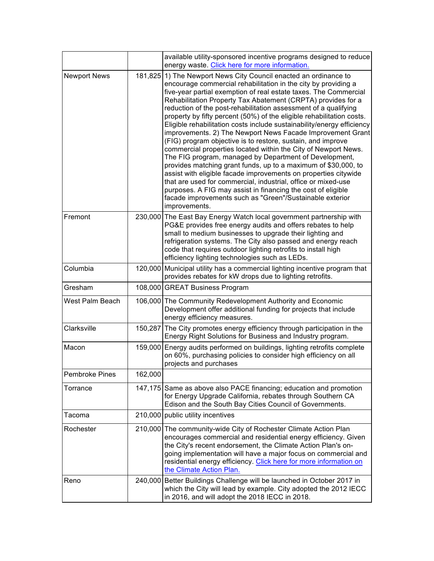|                       |         | available utility-sponsored incentive programs designed to reduce<br>energy waste. Click here for more information.                                                                                                                                                                                                                                                                                                                                                                                                                                                                                                                                                                                                                                                                                                                                                                                                                                                                                                                                                                              |
|-----------------------|---------|--------------------------------------------------------------------------------------------------------------------------------------------------------------------------------------------------------------------------------------------------------------------------------------------------------------------------------------------------------------------------------------------------------------------------------------------------------------------------------------------------------------------------------------------------------------------------------------------------------------------------------------------------------------------------------------------------------------------------------------------------------------------------------------------------------------------------------------------------------------------------------------------------------------------------------------------------------------------------------------------------------------------------------------------------------------------------------------------------|
| <b>Newport News</b>   | 181,825 | 1) The Newport News City Council enacted an ordinance to<br>encourage commercial rehabilitation in the city by providing a<br>five-year partial exemption of real estate taxes. The Commercial<br>Rehabilitation Property Tax Abatement (CRPTA) provides for a<br>reduction of the post-rehabilitation assessment of a qualifying<br>property by fifty percent (50%) of the eligible rehabilitation costs.<br>Eligible rehabilitation costs include sustainability/energy efficiency<br>improvements. 2) The Newport News Facade Improvement Grant<br>(FIG) program objective is to restore, sustain, and improve<br>commercial properties located within the City of Newport News.<br>The FIG program, managed by Department of Development,<br>provides matching grant funds, up to a maximum of \$30,000, to<br>assist with eligible facade improvements on properties citywide<br>that are used for commercial, industrial, office or mixed-use<br>purposes. A FIG may assist in financing the cost of eligible<br>facade improvements such as "Green"/Sustainable exterior<br>improvements. |
| Fremont               |         | 230,000 The East Bay Energy Watch local government partnership with<br>PG&E provides free energy audits and offers rebates to help<br>small to medium businesses to upgrade their lighting and<br>refrigeration systems. The City also passed and energy reach<br>code that requires outdoor lighting retrofits to install high<br>efficiency lighting technologies such as LEDs.                                                                                                                                                                                                                                                                                                                                                                                                                                                                                                                                                                                                                                                                                                                |
| Columbia              |         | 120,000 Municipal utility has a commercial lighting incentive program that<br>provides rebates for kW drops due to lighting retrofits.                                                                                                                                                                                                                                                                                                                                                                                                                                                                                                                                                                                                                                                                                                                                                                                                                                                                                                                                                           |
| Gresham               |         | 108,000 GREAT Business Program                                                                                                                                                                                                                                                                                                                                                                                                                                                                                                                                                                                                                                                                                                                                                                                                                                                                                                                                                                                                                                                                   |
| West Palm Beach       |         | 106,000 The Community Redevelopment Authority and Economic<br>Development offer additional funding for projects that include<br>energy efficiency measures.                                                                                                                                                                                                                                                                                                                                                                                                                                                                                                                                                                                                                                                                                                                                                                                                                                                                                                                                      |
| Clarksville           |         | 150,287 The City promotes energy efficiency through participation in the<br>Energy Right Solutions for Business and Industry program.                                                                                                                                                                                                                                                                                                                                                                                                                                                                                                                                                                                                                                                                                                                                                                                                                                                                                                                                                            |
| Macon                 |         | 159,000 Energy audits performed on buildings, lighting retrofits complete<br>on 60%, purchasing policies to consider high efficiency on all<br>projects and purchases                                                                                                                                                                                                                                                                                                                                                                                                                                                                                                                                                                                                                                                                                                                                                                                                                                                                                                                            |
| <b>Pembroke Pines</b> | 162,000 |                                                                                                                                                                                                                                                                                                                                                                                                                                                                                                                                                                                                                                                                                                                                                                                                                                                                                                                                                                                                                                                                                                  |
| Torrance              |         | 147,175 Same as above also PACE financing; education and promotion<br>for Energy Upgrade California, rebates through Southern CA<br>Edison and the South Bay Cities Council of Governments.                                                                                                                                                                                                                                                                                                                                                                                                                                                                                                                                                                                                                                                                                                                                                                                                                                                                                                      |
| Tacoma                |         | 210,000 public utility incentives                                                                                                                                                                                                                                                                                                                                                                                                                                                                                                                                                                                                                                                                                                                                                                                                                                                                                                                                                                                                                                                                |
| Rochester             |         | 210,000 The community-wide City of Rochester Climate Action Plan<br>encourages commercial and residential energy efficiency. Given<br>the City's recent endorsement, the Climate Action Plan's on-<br>going implementation will have a major focus on commercial and<br>residential energy efficiency. Click here for more information on<br>the Climate Action Plan.                                                                                                                                                                                                                                                                                                                                                                                                                                                                                                                                                                                                                                                                                                                            |
| Reno                  |         | 240,000 Better Buildings Challenge will be launched in October 2017 in<br>which the City will lead by example. City adopted the 2012 IECC<br>in 2016, and will adopt the 2018 IECC in 2018.                                                                                                                                                                                                                                                                                                                                                                                                                                                                                                                                                                                                                                                                                                                                                                                                                                                                                                      |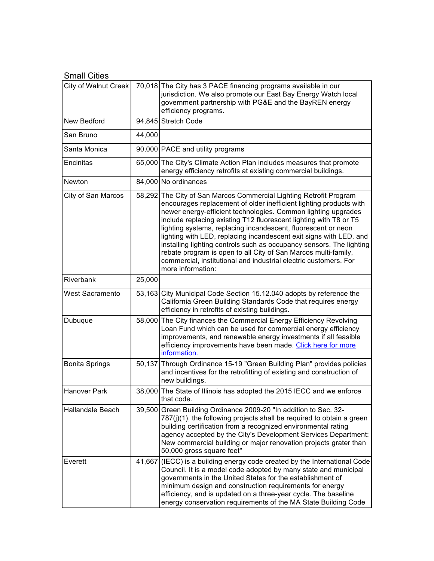### Small Cities

| City of Walnut Creek    |        | 70,018 The City has 3 PACE financing programs available in our<br>jurisdiction. We also promote our East Bay Energy Watch local<br>government partnership with PG&E and the BayREN energy<br>efficiency programs.                                                                                                                                                                                                                                                                                                                                                                                                                                        |
|-------------------------|--------|----------------------------------------------------------------------------------------------------------------------------------------------------------------------------------------------------------------------------------------------------------------------------------------------------------------------------------------------------------------------------------------------------------------------------------------------------------------------------------------------------------------------------------------------------------------------------------------------------------------------------------------------------------|
| New Bedford             |        | 94,845 Stretch Code                                                                                                                                                                                                                                                                                                                                                                                                                                                                                                                                                                                                                                      |
| San Bruno               | 44,000 |                                                                                                                                                                                                                                                                                                                                                                                                                                                                                                                                                                                                                                                          |
| Santa Monica            |        | 90,000 PACE and utility programs                                                                                                                                                                                                                                                                                                                                                                                                                                                                                                                                                                                                                         |
| Encinitas               |        | 65,000 The City's Climate Action Plan includes measures that promote<br>energy efficiency retrofits at existing commercial buildings.                                                                                                                                                                                                                                                                                                                                                                                                                                                                                                                    |
| Newton                  |        | 84,000 No ordinances                                                                                                                                                                                                                                                                                                                                                                                                                                                                                                                                                                                                                                     |
| City of San Marcos      |        | 58,292 The City of San Marcos Commercial Lighting Retrofit Program<br>encourages replacement of older inefficient lighting products with<br>newer energy-efficient technologies. Common lighting upgrades<br>include replacing existing T12 fluorescent lighting with T8 or T5<br>lighting systems, replacing incandescent, fluorescent or neon<br>lighting with LED, replacing incandescent exit signs with LED, and<br>installing lighting controls such as occupancy sensors. The lighting<br>rebate program is open to all City of San Marcos multi-family,<br>commercial, institutional and industrial electric customers. For<br>more information: |
| Riverbank               | 25,000 |                                                                                                                                                                                                                                                                                                                                                                                                                                                                                                                                                                                                                                                          |
| <b>West Sacramento</b>  |        | 53,163 City Municipal Code Section 15.12.040 adopts by reference the<br>California Green Building Standards Code that requires energy<br>efficiency in retrofits of existing buildings.                                                                                                                                                                                                                                                                                                                                                                                                                                                                  |
| Dubuque                 |        | 58,000 The City finances the Commercial Energy Efficiency Revolving<br>Loan Fund which can be used for commercial energy efficiency<br>improvements, and renewable energy investments if all feasible<br>efficiency improvements have been made. Click here for more<br>information.                                                                                                                                                                                                                                                                                                                                                                     |
| <b>Bonita Springs</b>   |        | 50,137 Through Ordinance 15-19 "Green Building Plan" provides policies<br>and incentives for the retrofitting of existing and construction of<br>new buildings.                                                                                                                                                                                                                                                                                                                                                                                                                                                                                          |
| <b>Hanover Park</b>     |        | 38,000 The State of Illinois has adopted the 2015 IECC and we enforce<br>that code.                                                                                                                                                                                                                                                                                                                                                                                                                                                                                                                                                                      |
| <b>Hallandale Beach</b> | 39,500 | Green Building Ordinance 2009-20 "In addition to Sec. 32-<br>$787(j)(1)$ , the following projects shall be required to obtain a green<br>building certification from a recognized environmental rating<br>agency accepted by the City's Development Services Department:<br>New commercial building or major renovation projects grater than<br>50,000 gross square feet"                                                                                                                                                                                                                                                                                |
| Everett                 |        | 41,667 (IECC) is a building energy code created by the International Code<br>Council. It is a model code adopted by many state and municipal<br>governments in the United States for the establishment of<br>minimum design and construction requirements for energy<br>efficiency, and is updated on a three-year cycle. The baseline<br>energy conservation requirements of the MA State Building Code                                                                                                                                                                                                                                                 |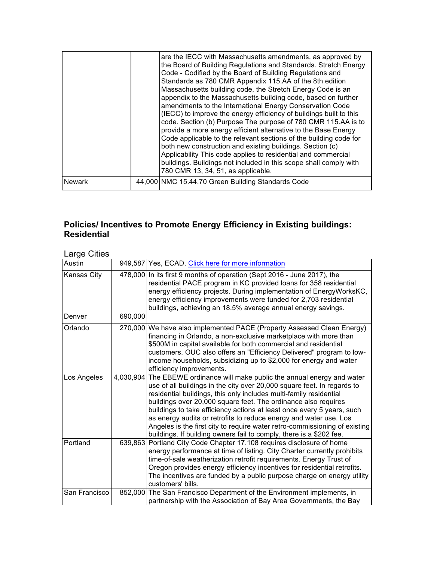|               | are the IECC with Massachusetts amendments, as approved by<br>the Board of Building Regulations and Standards. Stretch Energy<br>Code - Codified by the Board of Building Regulations and<br>Standards as 780 CMR Appendix 115.AA of the 8th edition<br>Massachusetts building code, the Stretch Energy Code is an<br>appendix to the Massachusetts building code, based on further<br>amendments to the International Energy Conservation Code<br>(IECC) to improve the energy efficiency of buildings built to this<br>code. Section (b) Purpose The purpose of 780 CMR 115.AA is to<br>provide a more energy efficient alternative to the Base Energy<br>Code applicable to the relevant sections of the building code for<br>both new construction and existing buildings. Section (c)<br>Applicability This code applies to residential and commercial<br>buildings. Buildings not included in this scope shall comply with<br>780 CMR 13, 34, 51, as applicable. |
|---------------|------------------------------------------------------------------------------------------------------------------------------------------------------------------------------------------------------------------------------------------------------------------------------------------------------------------------------------------------------------------------------------------------------------------------------------------------------------------------------------------------------------------------------------------------------------------------------------------------------------------------------------------------------------------------------------------------------------------------------------------------------------------------------------------------------------------------------------------------------------------------------------------------------------------------------------------------------------------------|
| <b>Newark</b> | 44,000 NMC 15.44.70 Green Building Standards Code                                                                                                                                                                                                                                                                                                                                                                                                                                                                                                                                                                                                                                                                                                                                                                                                                                                                                                                      |

### **Policies/ Incentives to Promote Energy Efficiency in Existing buildings: Residential**

# Large Cities

| Austin        |         | 949,587 Yes, ECAD. Click here for more information                                                                                                                                                                                                                                                                                                                                                                                                                                                                                                                                                |
|---------------|---------|---------------------------------------------------------------------------------------------------------------------------------------------------------------------------------------------------------------------------------------------------------------------------------------------------------------------------------------------------------------------------------------------------------------------------------------------------------------------------------------------------------------------------------------------------------------------------------------------------|
| Kansas City   |         | 478,000 In its first 9 months of operation (Sept 2016 - June 2017), the<br>residential PACE program in KC provided loans for 358 residential<br>energy efficiency projects. During implementation of EnergyWorksKC,<br>energy efficiency improvements were funded for 2,703 residential<br>buildings, achieving an 18.5% average annual energy savings.                                                                                                                                                                                                                                           |
| Denver        | 690,000 |                                                                                                                                                                                                                                                                                                                                                                                                                                                                                                                                                                                                   |
| Orlando       |         | 270,000 We have also implemented PACE (Property Assessed Clean Energy)<br>financing in Orlando, a non-exclusive marketplace with more than<br>\$500M in capital available for both commercial and residential<br>customers. OUC also offers an "Efficiency Delivered" program to low-<br>income households, subsidizing up to \$2,000 for energy and water<br>efficiency improvements.                                                                                                                                                                                                            |
| Los Angeles   |         | 4,030,904 The EBEWE ordinance will make public the annual energy and water<br>use of all buildings in the city over 20,000 square feet. In regards to<br>residential buildings, this only includes multi-family residential<br>buildings over 20,000 square feet. The ordinance also requires<br>buildings to take efficiency actions at least once every 5 years, such<br>as energy audits or retrofits to reduce energy and water use. Los<br>Angeles is the first city to require water retro-commissioning of existing<br>buildings. If building owners fail to comply, there is a \$202 fee. |
| Portland      |         | 639,863 Portland City Code Chapter 17.108 requires disclosure of home<br>energy performance at time of listing. City Charter currently prohibits<br>time-of-sale weatherization retrofit requirements. Energy Trust of<br>Oregon provides energy efficiency incentives for residential retrofits.<br>The incentives are funded by a public purpose charge on energy utility<br>customers' bills.                                                                                                                                                                                                  |
| San Francisco |         | 852,000 The San Francisco Department of the Environment implements, in<br>partnership with the Association of Bay Area Governments, the Bay                                                                                                                                                                                                                                                                                                                                                                                                                                                       |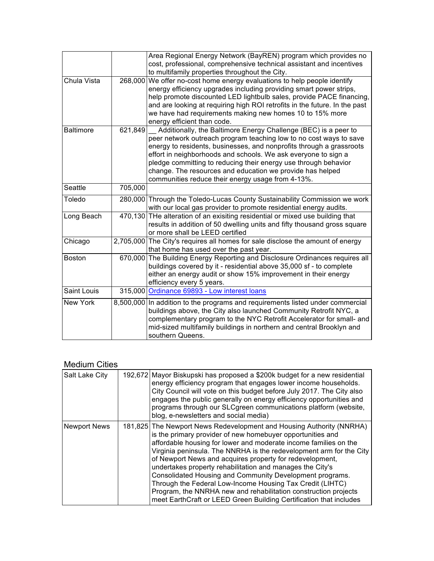|                  |           | Area Regional Energy Network (BayREN) program which provides no<br>cost, professional, comprehensive technical assistant and incentives<br>to multifamily properties throughout the City.                                                                                                                                                                                                                                                                            |
|------------------|-----------|----------------------------------------------------------------------------------------------------------------------------------------------------------------------------------------------------------------------------------------------------------------------------------------------------------------------------------------------------------------------------------------------------------------------------------------------------------------------|
| Chula Vista      | 268,000   | We offer no-cost home energy evaluations to help people identify<br>energy efficiency upgrades including providing smart power strips,<br>help promote discounted LED lightbulb sales, provide PACE financing,<br>and are looking at requiring high ROI retrofits in the future. In the past<br>we have had requirements making new homes 10 to 15% more<br>energy efficient than code.                                                                              |
| <b>Baltimore</b> | 621,849   | Additionally, the Baltimore Energy Challenge (BEC) is a peer to<br>peer network outreach program teaching low to no cost ways to save<br>energy to residents, businesses, and nonprofits through a grassroots<br>effort in neighborhoods and schools. We ask everyone to sign a<br>pledge committing to reducing their energy use through behavior<br>change. The resources and education we provide has helped<br>communities reduce their energy usage from 4-13%. |
| Seattle          | 705,000   |                                                                                                                                                                                                                                                                                                                                                                                                                                                                      |
| Toledo           |           | 280,000 Through the Toledo-Lucas County Sustainability Commission we work<br>with our local gas provider to promote residential energy audits.                                                                                                                                                                                                                                                                                                                       |
| Long Beach       |           | 470,130 THe alteration of an exisiting residential or mixed use building that<br>results in addition of 50 dwelling units and fifty thousand gross square<br>or more shall be LEED certified                                                                                                                                                                                                                                                                         |
| Chicago          |           | 2,705,000 The City's requires all homes for sale disclose the amount of energy<br>that home has used over the past year.                                                                                                                                                                                                                                                                                                                                             |
| <b>Boston</b>    |           | 670,000 The Building Energy Reporting and Disclosure Ordinances requires all<br>buildings covered by it - residential above 35,000 sf - to complete<br>either an energy audit or show 15% improvement in their energy<br>efficiency every 5 years.                                                                                                                                                                                                                   |
| Saint Louis      |           | 315,000 Ordinance 69893 - Low interest loans                                                                                                                                                                                                                                                                                                                                                                                                                         |
| <b>New York</b>  | 8,500,000 | In addition to the programs and requirements listed under commercial<br>buildings above, the City also launched Community Retrofit NYC, a<br>complementary program to the NYC Retrofit Accelerator for small- and<br>mid-sized multifamily buildings in northern and central Brooklyn and<br>southern Queens.                                                                                                                                                        |

# Medium Cities

| <b>Salt Lake City</b> | 192,672 Mayor Biskupski has proposed a \$200k budget for a new residential<br>energy efficiency program that engages lower income households.<br>City Council will vote on this budget before July 2017. The City also<br>engages the public generally on energy efficiency opportunities and<br>programs through our SLCgreen communications platform (website,<br>blog, e-newsletters and social media)                                                                                                                                                                                                                                                                |
|-----------------------|--------------------------------------------------------------------------------------------------------------------------------------------------------------------------------------------------------------------------------------------------------------------------------------------------------------------------------------------------------------------------------------------------------------------------------------------------------------------------------------------------------------------------------------------------------------------------------------------------------------------------------------------------------------------------|
| <b>Newport News</b>   | 181,825 The Newport News Redevelopment and Housing Authority (NNRHA)<br>is the primary provider of new homebuyer opportunities and<br>affordable housing for lower and moderate income families on the<br>Virginia peninsula. The NNRHA is the redevelopment arm for the City<br>of Newport News and acquires property for redevelopment,<br>undertakes property rehabilitation and manages the City's<br>Consolidated Housing and Community Development programs.<br>Through the Federal Low-Income Housing Tax Credit (LIHTC)<br>Program, the NNRHA new and rehabilitation construction projects<br>meet EarthCraft or LEED Green Building Certification that includes |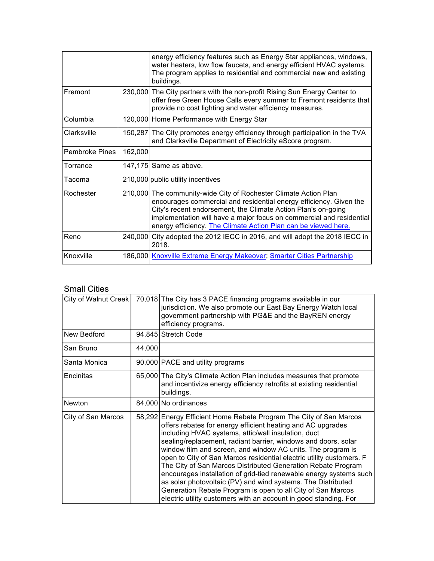|                |         | energy efficiency features such as Energy Star appliances, windows,<br>water heaters, low flow faucets, and energy efficient HVAC systems.<br>The program applies to residential and commercial new and existing<br>buildings.                                                                                                                    |
|----------------|---------|---------------------------------------------------------------------------------------------------------------------------------------------------------------------------------------------------------------------------------------------------------------------------------------------------------------------------------------------------|
| Fremont        |         | 230,000 The City partners with the non-profit Rising Sun Energy Center to<br>offer free Green House Calls every summer to Fremont residents that<br>provide no cost lighting and water efficiency measures.                                                                                                                                       |
| Columbia       |         | 120,000 Home Performance with Energy Star                                                                                                                                                                                                                                                                                                         |
| Clarksville    |         | 150,287 The City promotes energy efficiency through participation in the TVA<br>and Clarksville Department of Electricity eScore program.                                                                                                                                                                                                         |
| Pembroke Pines | 162,000 |                                                                                                                                                                                                                                                                                                                                                   |
| Torrance       |         | 147,175 Same as above.                                                                                                                                                                                                                                                                                                                            |
| Tacoma         |         | 210,000 public utility incentives                                                                                                                                                                                                                                                                                                                 |
| Rochester      |         | 210,000 The community-wide City of Rochester Climate Action Plan<br>encourages commercial and residential energy efficiency. Given the<br>City's recent endorsement, the Climate Action Plan's on-going<br>implementation will have a major focus on commercial and residential<br>energy efficiency. The Climate Action Plan can be viewed here. |
| Reno           |         | 240,000 City adopted the 2012 IECC in 2016, and will adopt the 2018 IECC in<br>2018.                                                                                                                                                                                                                                                              |
| Knoxville      |         | 186,000 Knoxville Extreme Energy Makeover; Smarter Cities Partnership                                                                                                                                                                                                                                                                             |

### Small Cities

| City of Walnut Creek |        | 70,018 The City has 3 PACE financing programs available in our<br>jurisdiction. We also promote our East Bay Energy Watch local<br>government partnership with PG&E and the BayREN energy<br>efficiency programs.                                                                                                                                                                                                                                                                                                                                                                                                                                                                                                                          |
|----------------------|--------|--------------------------------------------------------------------------------------------------------------------------------------------------------------------------------------------------------------------------------------------------------------------------------------------------------------------------------------------------------------------------------------------------------------------------------------------------------------------------------------------------------------------------------------------------------------------------------------------------------------------------------------------------------------------------------------------------------------------------------------------|
| New Bedford          |        | 94,845 Stretch Code                                                                                                                                                                                                                                                                                                                                                                                                                                                                                                                                                                                                                                                                                                                        |
| San Bruno            | 44,000 |                                                                                                                                                                                                                                                                                                                                                                                                                                                                                                                                                                                                                                                                                                                                            |
| Santa Monica         |        | 90,000 PACE and utility programs                                                                                                                                                                                                                                                                                                                                                                                                                                                                                                                                                                                                                                                                                                           |
| Encinitas            |        | 65,000 The City's Climate Action Plan includes measures that promote<br>and incentivize energy efficiency retrofits at existing residential<br>buildings.                                                                                                                                                                                                                                                                                                                                                                                                                                                                                                                                                                                  |
| Newton               |        | 84,000 No ordinances                                                                                                                                                                                                                                                                                                                                                                                                                                                                                                                                                                                                                                                                                                                       |
| City of San Marcos   |        | 58,292 Energy Efficient Home Rebate Program The City of San Marcos<br>offers rebates for energy efficient heating and AC upgrades<br>including HVAC systems, attic/wall insulation, duct<br>sealing/replacement, radiant barrier, windows and doors, solar<br>window film and screen, and window AC units. The program is<br>open to City of San Marcos residential electric utility customers. F<br>The City of San Marcos Distributed Generation Rebate Program<br>encourages installation of grid-tied renewable energy systems such<br>as solar photovoltaic (PV) and wind systems. The Distributed<br>Generation Rebate Program is open to all City of San Marcos<br>electric utility customers with an account in good standing. For |